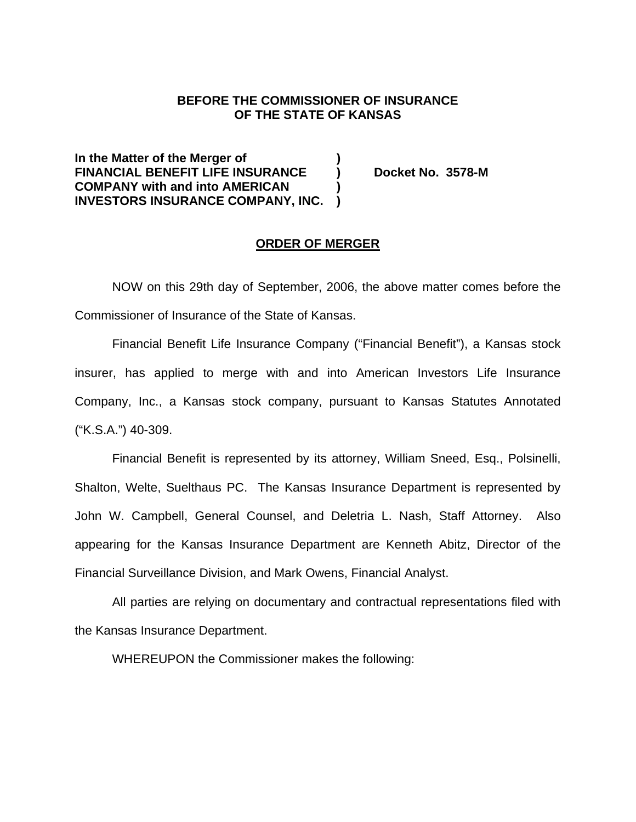### **BEFORE THE COMMISSIONER OF INSURANCE OF THE STATE OF KANSAS**

**In the Matter of the Merger of ) FINANCIAL BENEFIT LIFE INSURANCE ) Docket No. 3578-M COMPANY with and into AMERICAN ) INVESTORS INSURANCE COMPANY, INC. )** 

#### **ORDER OF MERGER**

 NOW on this 29th day of September, 2006, the above matter comes before the Commissioner of Insurance of the State of Kansas.

Financial Benefit Life Insurance Company ("Financial Benefit"), a Kansas stock insurer, has applied to merge with and into American Investors Life Insurance Company, Inc., a Kansas stock company, pursuant to Kansas Statutes Annotated ("K.S.A.") 40-309.

Financial Benefit is represented by its attorney, William Sneed, Esq., Polsinelli, Shalton, Welte, Suelthaus PC. The Kansas Insurance Department is represented by John W. Campbell, General Counsel, and Deletria L. Nash, Staff Attorney. Also appearing for the Kansas Insurance Department are Kenneth Abitz, Director of the Financial Surveillance Division, and Mark Owens, Financial Analyst.

All parties are relying on documentary and contractual representations filed with the Kansas Insurance Department.

WHEREUPON the Commissioner makes the following: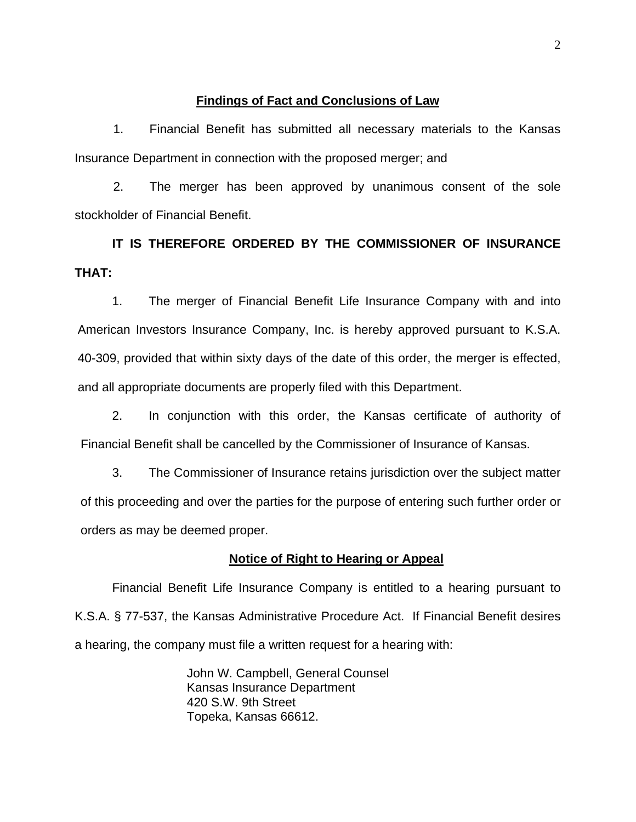### **Findings of Fact and Conclusions of Law**

1. Financial Benefit has submitted all necessary materials to the Kansas Insurance Department in connection with the proposed merger; and

2. The merger has been approved by unanimous consent of the sole stockholder of Financial Benefit.

# **IT IS THEREFORE ORDERED BY THE COMMISSIONER OF INSURANCE THAT:**

1. The merger of Financial Benefit Life Insurance Company with and into American Investors Insurance Company, Inc. is hereby approved pursuant to K.S.A. 40-309, provided that within sixty days of the date of this order, the merger is effected, and all appropriate documents are properly filed with this Department.

2. In conjunction with this order, the Kansas certificate of authority of Financial Benefit shall be cancelled by the Commissioner of Insurance of Kansas.

3. The Commissioner of Insurance retains jurisdiction over the subject matter of this proceeding and over the parties for the purpose of entering such further order or orders as may be deemed proper.

### **Notice of Right to Hearing or Appeal**

Financial Benefit Life Insurance Company is entitled to a hearing pursuant to K.S.A. § 77-537, the Kansas Administrative Procedure Act. If Financial Benefit desires a hearing, the company must file a written request for a hearing with:

> John W. Campbell, General Counsel Kansas Insurance Department 420 S.W. 9th Street Topeka, Kansas 66612.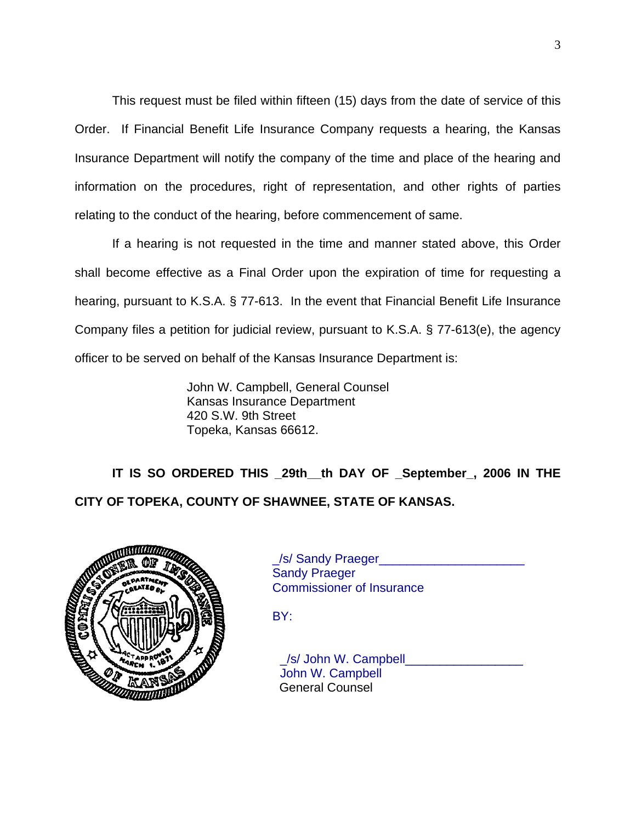This request must be filed within fifteen (15) days from the date of service of this Order. If Financial Benefit Life Insurance Company requests a hearing, the Kansas Insurance Department will notify the company of the time and place of the hearing and information on the procedures, right of representation, and other rights of parties relating to the conduct of the hearing, before commencement of same.

If a hearing is not requested in the time and manner stated above, this Order shall become effective as a Final Order upon the expiration of time for requesting a hearing, pursuant to K.S.A. § 77-613. In the event that Financial Benefit Life Insurance Company files a petition for judicial review, pursuant to K.S.A. § 77-613(e), the agency officer to be served on behalf of the Kansas Insurance Department is:

> John W. Campbell, General Counsel Kansas Insurance Department 420 S.W. 9th Street Topeka, Kansas 66612.

**IT IS SO ORDERED THIS \_29th\_\_th DAY OF \_September\_, 2006 IN THE CITY OF TOPEKA, COUNTY OF SHAWNEE, STATE OF KANSAS.** 



 \_/s/ Sandy Praeger\_\_\_\_\_\_\_\_\_\_\_\_\_\_\_\_\_\_\_\_\_ Sandy Praeger Commissioner of Insurance

BY:

 \_/s/ John W. Campbell\_\_\_\_\_\_\_\_\_\_\_\_\_\_\_\_\_ John W. Campbell General Counsel